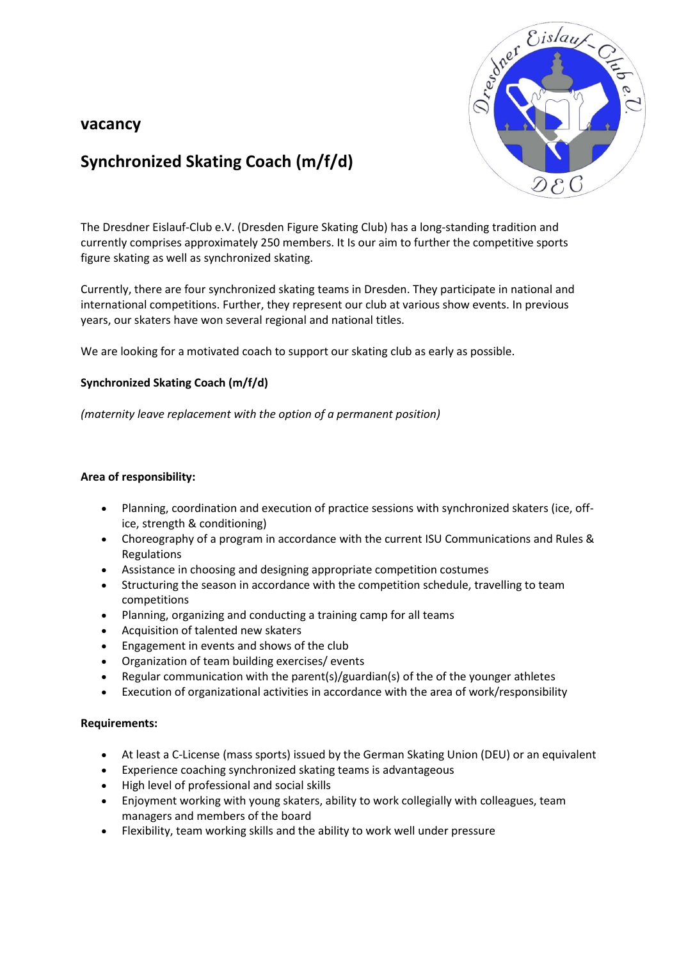# **vacancy**



# **Synchronized Skating Coach (m/f/d)**

The Dresdner Eislauf-Club e.V. (Dresden Figure Skating Club) has a long-standing tradition and currently comprises approximately 250 members. It Is our aim to further the competitive sports figure skating as well as synchronized skating.

Currently, there are four synchronized skating teams in Dresden. They participate in national and international competitions. Further, they represent our club at various show events. In previous years, our skaters have won several regional and national titles.

We are looking for a motivated coach to support our skating club as early as possible.

## **Synchronized Skating Coach (m/f/d)**

*(maternity leave replacement with the option of a permanent position)*

#### **Area of responsibility:**

- Planning, coordination and execution of practice sessions with synchronized skaters (ice, office, strength & conditioning)
- Choreography of a program in accordance with the current ISU Communications and Rules & Regulations
- Assistance in choosing and designing appropriate competition costumes
- Structuring the season in accordance with the competition schedule, travelling to team competitions
- Planning, organizing and conducting a training camp for all teams
- Acquisition of talented new skaters
- Engagement in events and shows of the club
- Organization of team building exercises/ events
- Regular communication with the parent(s)/guardian(s) of the of the younger athletes
- Execution of organizational activities in accordance with the area of work/responsibility

#### **Requirements:**

- At least a C-License (mass sports) issued by the German Skating Union (DEU) or an equivalent
- Experience coaching synchronized skating teams is advantageous
- High level of professional and social skills
- Enjoyment working with young skaters, ability to work collegially with colleagues, team managers and members of the board
- Flexibility, team working skills and the ability to work well under pressure